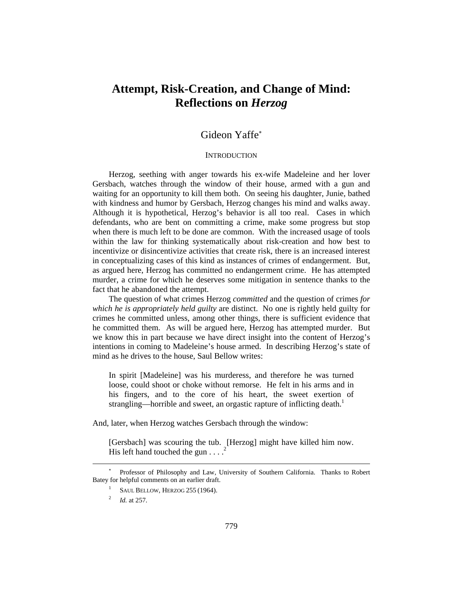# **Attempt, Risk-Creation, and Change of Mind: Reflections on** *Herzog*

## Gideon Yaffe

#### **INTRODUCTION**

Herzog, seething with anger towards his ex-wife Madeleine and her lover Gersbach, watches through the window of their house, armed with a gun and waiting for an opportunity to kill them both. On seeing his daughter, Junie, bathed with kindness and humor by Gersbach, Herzog changes his mind and walks away. Although it is hypothetical, Herzog's behavior is all too real. Cases in which defendants, who are bent on committing a crime, make some progress but stop when there is much left to be done are common. With the increased usage of tools within the law for thinking systematically about risk-creation and how best to incentivize or disincentivize activities that create risk, there is an increased interest in conceptualizing cases of this kind as instances of crimes of endangerment. But, as argued here, Herzog has committed no endangerment crime. He has attempted murder, a crime for which he deserves some mitigation in sentence thanks to the fact that he abandoned the attempt.

The question of what crimes Herzog *committed* and the question of crimes *for which he is appropriately held guilty* are distinct. No one is rightly held guilty for crimes he committed unless, among other things, there is sufficient evidence that he committed them. As will be argued here, Herzog has attempted murder. But we know this in part because we have direct insight into the content of Herzog's intentions in coming to Madeleine's house armed. In describing Herzog's state of mind as he drives to the house, Saul Bellow writes:

In spirit [Madeleine] was his murderess, and therefore he was turned loose, could shoot or choke without remorse. He felt in his arms and in his fingers, and to the core of his heart, the sweet exertion of strangling—horrible and sweet, an orgastic rapture of inflicting death.<sup>1</sup>

And, later, when Herzog watches Gersbach through the window:

[Gersbach] was scouring the tub. [Herzog] might have killed him now. His left hand touched the gun  $\ldots$ .

l

<sup>\*</sup>  Professor of Philosophy and Law, University of Southern California. Thanks to Robert Batey for helpful comments on an earlier draft.

<sup>&</sup>lt;sup>1</sup> SAUL BELLOW, HERZOG 255 (1964).

<sup>2</sup> *Id.* at 257.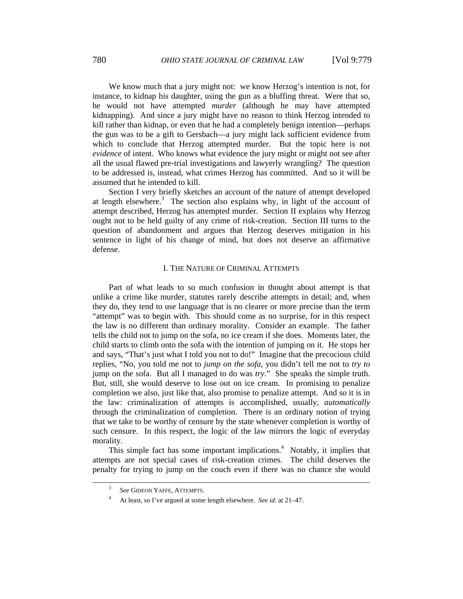We know much that a jury might not: we know Herzog's intention is not, for instance, to kidnap his daughter, using the gun as a bluffing threat. Were that so, he would not have attempted *murder* (although he may have attempted kidnapping). And since a jury might have no reason to think Herzog intended to kill rather than kidnap, or even that he had a completely benign intention—perhaps the gun was to be a gift to Gersbach—a jury might lack sufficient evidence from which to conclude that Herzog attempted murder. But the topic here is not *evidence* of intent. Who knows what evidence the jury might or might not see after all the usual flawed pre-trial investigations and lawyerly wrangling? The question to be addressed is, instead, what crimes Herzog has committed. And so it will be assumed that he intended to kill.

Section I very briefly sketches an account of the nature of attempt developed at length elsewhere.<sup>3</sup> The section also explains why, in light of the account of attempt described, Herzog has attempted murder. Section II explains why Herzog ought not to be held guilty of any crime of risk-creation. Section III turns to the question of abandonment and argues that Herzog deserves mitigation in his sentence in light of his change of mind, but does not deserve an affirmative defense.

#### I. THE NATURE OF CRIMINAL ATTEMPTS

Part of what leads to so much confusion in thought about attempt is that unlike a crime like murder, statutes rarely describe attempts in detail; and, when they do, they tend to use language that is no clearer or more precise than the term "attempt" was to begin with. This should come as no surprise, for in this respect the law is no different than ordinary morality. Consider an example. The father tells the child not to jump on the sofa, no ice cream if she does. Moments later, the child starts to climb onto the sofa with the intention of jumping on it. He stops her and says, "That's just what I told you not to do!" Imagine that the precocious child replies, "No, you told me not to *jump on the sofa*, you didn't tell me not to *try to* jump on the sofa. But all I managed to do was *try*." She speaks the simple truth. But, still, she would deserve to lose out on ice cream. In promising to penalize completion we also, just like that, also promise to penalize attempt. And so it is in the law: criminalization of attempts is accomplished, usually, *automatically* through the criminalization of completion. There is an ordinary notion of trying that we take to be worthy of censure by the state whenever completion is worthy of such censure. In this respect, the logic of the law mirrors the logic of everyday morality.

This simple fact has some important implications.<sup>4</sup> Notably, it implies that attempts are not special cases of risk-creation crimes. The child deserves the penalty for trying to jump on the couch even if there was no chance she would

 <sup>3</sup> *See* GIDEON YAFFE, ATTEMPTS.

<sup>4</sup> At least, so I've argued at some length elsewhere. *See id.* at 21–47.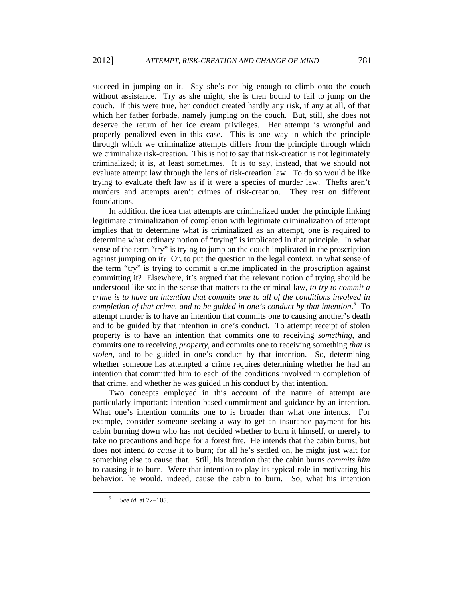succeed in jumping on it. Say she's not big enough to climb onto the couch without assistance. Try as she might, she is then bound to fail to jump on the couch. If this were true, her conduct created hardly any risk, if any at all, of that which her father forbade, namely jumping on the couch. But, still, she does not deserve the return of her ice cream privileges. Her attempt is wrongful and properly penalized even in this case. This is one way in which the principle through which we criminalize attempts differs from the principle through which we criminalize risk-creation. This is not to say that risk-creation is not legitimately criminalized; it is, at least sometimes. It is to say, instead, that we should not evaluate attempt law through the lens of risk-creation law. To do so would be like trying to evaluate theft law as if it were a species of murder law. Thefts aren't murders and attempts aren't crimes of risk-creation. They rest on different foundations.

In addition, the idea that attempts are criminalized under the principle linking legitimate criminalization of completion with legitimate criminalization of attempt implies that to determine what is criminalized as an attempt, one is required to determine what ordinary notion of "trying" is implicated in that principle. In what sense of the term "try" is trying to jump on the couch implicated in the proscription against jumping on it? Or, to put the question in the legal context, in what sense of the term "try" is trying to commit a crime implicated in the proscription against committing it? Elsewhere, it's argued that the relevant notion of trying should be understood like so: in the sense that matters to the criminal law, *to try to commit a crime is to have an intention that commits one to all of the conditions involved in completion of that crime, and to be guided in one's conduct by that intention*. 5 To attempt murder is to have an intention that commits one to causing another's death and to be guided by that intention in one's conduct. To attempt receipt of stolen property is to have an intention that commits one to receiving *something*, and commits one to receiving *property*, and commits one to receiving something *that is stolen*, and to be guided in one's conduct by that intention. So, determining whether someone has attempted a crime requires determining whether he had an intention that committed him to each of the conditions involved in completion of that crime, and whether he was guided in his conduct by that intention.

Two concepts employed in this account of the nature of attempt are particularly important: intention-based commitment and guidance by an intention. What one's intention commits one to is broader than what one intends. For example, consider someone seeking a way to get an insurance payment for his cabin burning down who has not decided whether to burn it himself, or merely to take no precautions and hope for a forest fire. He intends that the cabin burns, but does not intend *to cause* it to burn; for all he's settled on, he might just wait for something else to cause that. Still, his intention that the cabin burns *commits him* to causing it to burn. Were that intention to play its typical role in motivating his behavior, he would, indeed, cause the cabin to burn. So, what his intention

 $\frac{1}{5}$ *See id.* at 72–105.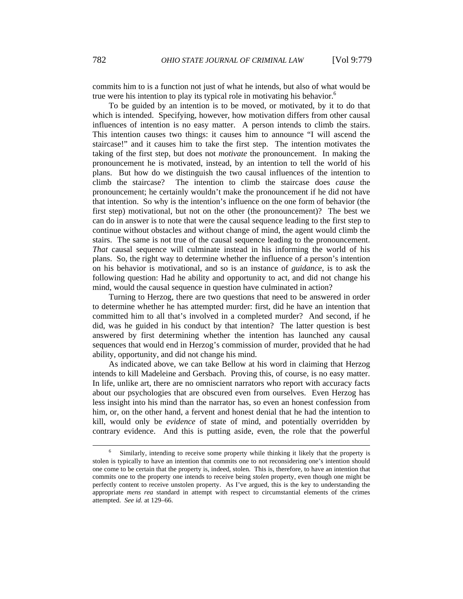commits him to is a function not just of what he intends, but also of what would be true were his intention to play its typical role in motivating his behavior.<sup>6</sup>

To be guided by an intention is to be moved, or motivated, by it to do that which is intended. Specifying, however, how motivation differs from other causal influences of intention is no easy matter. A person intends to climb the stairs. This intention causes two things: it causes him to announce "I will ascend the staircase!" and it causes him to take the first step. The intention motivates the taking of the first step, but does not *motivate* the pronouncement. In making the pronouncement he is motivated, instead, by an intention to tell the world of his plans. But how do we distinguish the two causal influences of the intention to climb the staircase? The intention to climb the staircase does *cause* the pronouncement; he certainly wouldn't make the pronouncement if he did not have that intention. So why is the intention's influence on the one form of behavior (the first step) motivational, but not on the other (the pronouncement)? The best we can do in answer is to note that were the causal sequence leading to the first step to continue without obstacles and without change of mind, the agent would climb the stairs. The same is not true of the causal sequence leading to the pronouncement. *That* causal sequence will culminate instead in his informing the world of his plans. So, the right way to determine whether the influence of a person's intention on his behavior is motivational, and so is an instance of *guidance*, is to ask the following question: Had he ability and opportunity to act, and did not change his mind, would the causal sequence in question have culminated in action?

Turning to Herzog, there are two questions that need to be answered in order to determine whether he has attempted murder: first, did he have an intention that committed him to all that's involved in a completed murder? And second, if he did, was he guided in his conduct by that intention? The latter question is best answered by first determining whether the intention has launched any causal sequences that would end in Herzog's commission of murder, provided that he had ability, opportunity, and did not change his mind.

As indicated above, we can take Bellow at his word in claiming that Herzog intends to kill Madeleine and Gersbach. Proving this, of course, is no easy matter. In life, unlike art, there are no omniscient narrators who report with accuracy facts about our psychologies that are obscured even from ourselves. Even Herzog has less insight into his mind than the narrator has, so even an honest confession from him, or, on the other hand, a fervent and honest denial that he had the intention to kill, would only be *evidence* of state of mind, and potentially overridden by contrary evidence. And this is putting aside, even, the role that the powerful

 $\overline{\phantom{0}}$ <sup>6</sup> Similarly, intending to receive some property while thinking it likely that the property is stolen is typically to have an intention that commits one to not reconsidering one's intention should one come to be certain that the property is, indeed, stolen. This is, therefore, to have an intention that commits one to the property one intends to receive being *stolen* property, even though one might be perfectly content to receive unstolen property. As I've argued, this is the key to understanding the appropriate *mens rea* standard in attempt with respect to circumstantial elements of the crimes attempted. *See id.* at 129–66.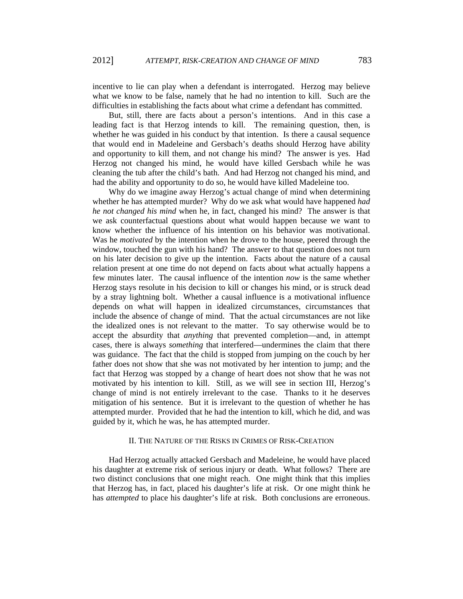incentive to lie can play when a defendant is interrogated. Herzog may believe what we know to be false, namely that he had no intention to kill. Such are the difficulties in establishing the facts about what crime a defendant has committed.

But, still, there are facts about a person's intentions. And in this case a leading fact is that Herzog intends to kill. The remaining question, then, is whether he was guided in his conduct by that intention. Is there a causal sequence that would end in Madeleine and Gersbach's deaths should Herzog have ability and opportunity to kill them, and not change his mind? The answer is yes. Had Herzog not changed his mind, he would have killed Gersbach while he was cleaning the tub after the child's bath. And had Herzog not changed his mind, and had the ability and opportunity to do so, he would have killed Madeleine too.

Why do we imagine away Herzog's actual change of mind when determining whether he has attempted murder? Why do we ask what would have happened *had he not changed his mind* when he, in fact, changed his mind? The answer is that we ask counterfactual questions about what would happen because we want to know whether the influence of his intention on his behavior was motivational. Was he *motivated* by the intention when he drove to the house, peered through the window, touched the gun with his hand? The answer to that question does not turn on his later decision to give up the intention. Facts about the nature of a causal relation present at one time do not depend on facts about what actually happens a few minutes later. The causal influence of the intention *now* is the same whether Herzog stays resolute in his decision to kill or changes his mind, or is struck dead by a stray lightning bolt. Whether a causal influence is a motivational influence depends on what will happen in idealized circumstances, circumstances that include the absence of change of mind. That the actual circumstances are not like the idealized ones is not relevant to the matter. To say otherwise would be to accept the absurdity that *anything* that prevented completion—and, in attempt cases, there is always *something* that interfered—undermines the claim that there was guidance. The fact that the child is stopped from jumping on the couch by her father does not show that she was not motivated by her intention to jump; and the fact that Herzog was stopped by a change of heart does not show that he was not motivated by his intention to kill. Still, as we will see in section III, Herzog's change of mind is not entirely irrelevant to the case. Thanks to it he deserves mitigation of his sentence. But it is irrelevant to the question of whether he has attempted murder. Provided that he had the intention to kill, which he did, and was guided by it, which he was, he has attempted murder.

#### II. THE NATURE OF THE RISKS IN CRIMES OF RISK-CREATION

Had Herzog actually attacked Gersbach and Madeleine, he would have placed his daughter at extreme risk of serious injury or death. What follows? There are two distinct conclusions that one might reach. One might think that this implies that Herzog has, in fact, placed his daughter's life at risk. Or one might think he has *attempted* to place his daughter's life at risk. Both conclusions are erroneous.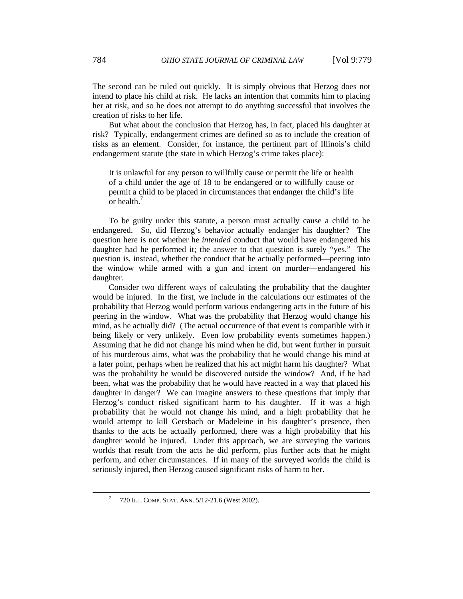The second can be ruled out quickly. It is simply obvious that Herzog does not intend to place his child at risk. He lacks an intention that commits him to placing her at risk, and so he does not attempt to do anything successful that involves the creation of risks to her life.

But what about the conclusion that Herzog has, in fact, placed his daughter at risk? Typically, endangerment crimes are defined so as to include the creation of risks as an element. Consider, for instance, the pertinent part of Illinois's child endangerment statute (the state in which Herzog's crime takes place):

It is unlawful for any person to willfully cause or permit the life or health of a child under the age of 18 to be endangered or to willfully cause or permit a child to be placed in circumstances that endanger the child's life or health.7

To be guilty under this statute, a person must actually cause a child to be endangered. So, did Herzog's behavior actually endanger his daughter? The question here is not whether he *intended* conduct that would have endangered his daughter had he performed it; the answer to that question is surely "yes." The question is, instead, whether the conduct that he actually performed—peering into the window while armed with a gun and intent on murder—endangered his daughter.

Consider two different ways of calculating the probability that the daughter would be injured. In the first, we include in the calculations our estimates of the probability that Herzog would perform various endangering acts in the future of his peering in the window. What was the probability that Herzog would change his mind, as he actually did? (The actual occurrence of that event is compatible with it being likely or very unlikely. Even low probability events sometimes happen.) Assuming that he did not change his mind when he did, but went further in pursuit of his murderous aims, what was the probability that he would change his mind at a later point, perhaps when he realized that his act might harm his daughter? What was the probability he would be discovered outside the window? And, if he had been, what was the probability that he would have reacted in a way that placed his daughter in danger? We can imagine answers to these questions that imply that Herzog's conduct risked significant harm to his daughter. If it was a high probability that he would not change his mind, and a high probability that he would attempt to kill Gersbach or Madeleine in his daughter's presence, then thanks to the acts he actually performed, there was a high probability that his daughter would be injured. Under this approach, we are surveying the various worlds that result from the acts he did perform, plus further acts that he might perform, and other circumstances. If in many of the surveyed worlds the child is seriously injured, then Herzog caused significant risks of harm to her.

 $\overline{7}$ 720 ILL. COMP. STAT. ANN. 5/12-21.6 (West 2002).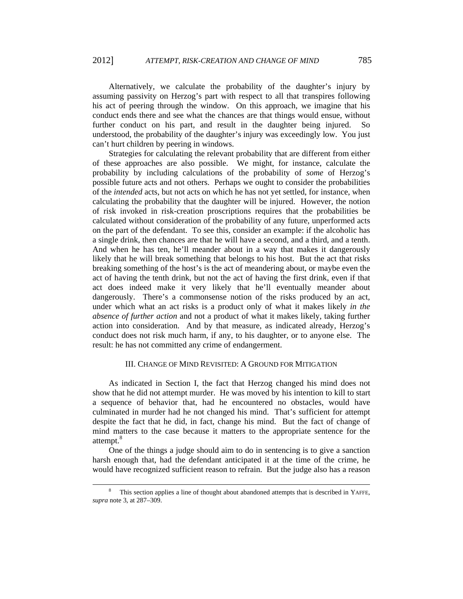Alternatively, we calculate the probability of the daughter's injury by assuming passivity on Herzog's part with respect to all that transpires following his act of peering through the window. On this approach, we imagine that his conduct ends there and see what the chances are that things would ensue, without further conduct on his part, and result in the daughter being injured. So understood, the probability of the daughter's injury was exceedingly low. You just can't hurt children by peering in windows.

Strategies for calculating the relevant probability that are different from either of these approaches are also possible. We might, for instance, calculate the probability by including calculations of the probability of *some* of Herzog's possible future acts and not others. Perhaps we ought to consider the probabilities of the *intended* acts, but not acts on which he has not yet settled, for instance, when calculating the probability that the daughter will be injured. However, the notion of risk invoked in risk-creation proscriptions requires that the probabilities be calculated without consideration of the probability of any future, unperformed acts on the part of the defendant. To see this, consider an example: if the alcoholic has a single drink, then chances are that he will have a second, and a third, and a tenth. And when he has ten, he'll meander about in a way that makes it dangerously likely that he will break something that belongs to his host. But the act that risks breaking something of the host's is the act of meandering about, or maybe even the act of having the tenth drink, but not the act of having the first drink, even if that act does indeed make it very likely that he'll eventually meander about dangerously. There's a commonsense notion of the risks produced by an act, under which what an act risks is a product only of what it makes likely *in the absence of further action* and not a product of what it makes likely, taking further action into consideration. And by that measure, as indicated already, Herzog's conduct does not risk much harm, if any, to his daughter, or to anyone else. The result: he has not committed any crime of endangerment.

#### III. CHANGE OF MIND REVISITED: A GROUND FOR MITIGATION

As indicated in Section I, the fact that Herzog changed his mind does not show that he did not attempt murder. He was moved by his intention to kill to start a sequence of behavior that, had he encountered no obstacles, would have culminated in murder had he not changed his mind. That's sufficient for attempt despite the fact that he did, in fact, change his mind. But the fact of change of mind matters to the case because it matters to the appropriate sentence for the attempt.<sup>8</sup>

One of the things a judge should aim to do in sentencing is to give a sanction harsh enough that, had the defendant anticipated it at the time of the crime, he would have recognized sufficient reason to refrain. But the judge also has a reason

 <sup>8</sup> This section applies a line of thought about abandoned attempts that is described in YAFFE, *supra* note 3, at 287–309.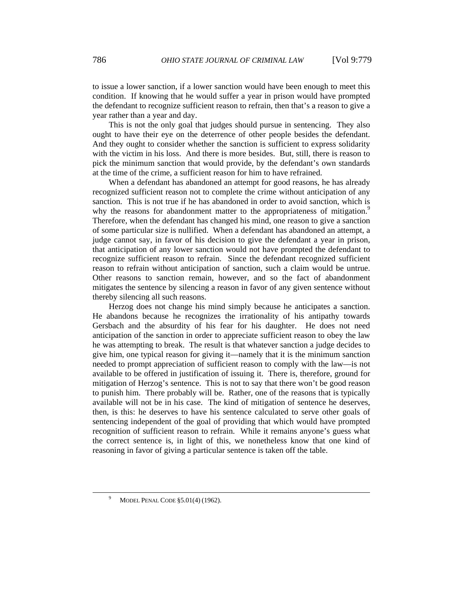to issue a lower sanction, if a lower sanction would have been enough to meet this condition. If knowing that he would suffer a year in prison would have prompted the defendant to recognize sufficient reason to refrain, then that's a reason to give a year rather than a year and day.

This is not the only goal that judges should pursue in sentencing. They also ought to have their eye on the deterrence of other people besides the defendant. And they ought to consider whether the sanction is sufficient to express solidarity with the victim in his loss. And there is more besides. But, still, there is reason to pick the minimum sanction that would provide, by the defendant's own standards at the time of the crime, a sufficient reason for him to have refrained.

When a defendant has abandoned an attempt for good reasons, he has already recognized sufficient reason not to complete the crime without anticipation of any sanction. This is not true if he has abandoned in order to avoid sanction, which is why the reasons for abandonment matter to the appropriateness of mitigation.<sup>9</sup> Therefore, when the defendant has changed his mind, one reason to give a sanction of some particular size is nullified. When a defendant has abandoned an attempt, a judge cannot say, in favor of his decision to give the defendant a year in prison, that anticipation of any lower sanction would not have prompted the defendant to recognize sufficient reason to refrain. Since the defendant recognized sufficient reason to refrain without anticipation of sanction, such a claim would be untrue. Other reasons to sanction remain, however, and so the fact of abandonment mitigates the sentence by silencing a reason in favor of any given sentence without thereby silencing all such reasons.

Herzog does not change his mind simply because he anticipates a sanction. He abandons because he recognizes the irrationality of his antipathy towards Gersbach and the absurdity of his fear for his daughter. He does not need anticipation of the sanction in order to appreciate sufficient reason to obey the law he was attempting to break. The result is that whatever sanction a judge decides to give him, one typical reason for giving it—namely that it is the minimum sanction needed to prompt appreciation of sufficient reason to comply with the law—is not available to be offered in justification of issuing it. There is, therefore, ground for mitigation of Herzog's sentence. This is not to say that there won't be good reason to punish him. There probably will be. Rather, one of the reasons that is typically available will not be in his case. The kind of mitigation of sentence he deserves, then, is this: he deserves to have his sentence calculated to serve other goals of sentencing independent of the goal of providing that which would have prompted recognition of sufficient reason to refrain. While it remains anyone's guess what the correct sentence is, in light of this, we nonetheless know that one kind of reasoning in favor of giving a particular sentence is taken off the table.

 $\overline{9}$ MODEL PENAL CODE §5.01(4) (1962).